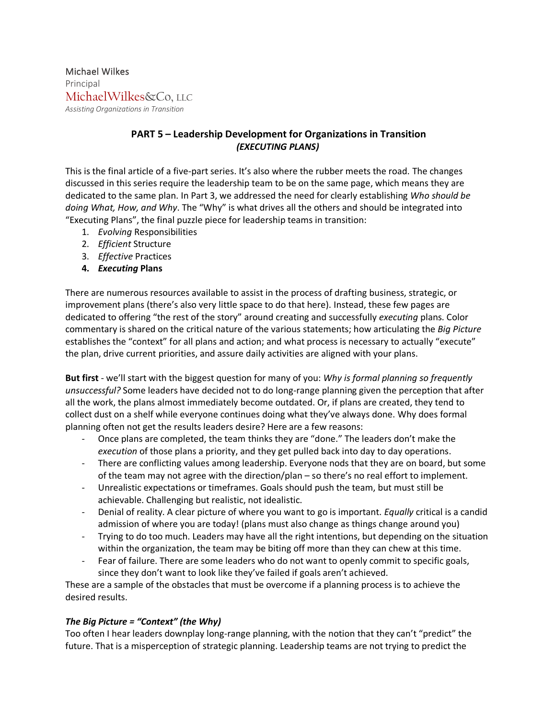Michael Wilkes Principal MichaelWilkes&Co, LLC *Assisting Organizations in Transition*

## **PART 5 – Leadership Development for Organizations in Transition** *(EXECUTING PLANS)*

This is the final article of a five-part series. It's also where the rubber meets the road. The changes discussed in this series require the leadership team to be on the same page, which means they are dedicated to the same plan. In Part 3, we addressed the need for clearly establishing *Who should be doing What, How, and Why*. The "Why" is what drives all the others and should be integrated into "Executing Plans", the final puzzle piece for leadership teams in transition:

- 1. *Evolving* Responsibilities
- 2. *Efficient* Structure
- 3. *Effective* Practices
- **4.** *Executing* **Plans**

There are numerous resources available to assist in the process of drafting business, strategic, or improvement plans (there's also very little space to do that here). Instead, these few pages are dedicated to offering "the rest of the story" around creating and successfully *executing* plans. Color commentary is shared on the critical nature of the various statements; how articulating the *Big Picture* establishes the "context" for all plans and action; and what process is necessary to actually "execute" the plan, drive current priorities, and assure daily activities are aligned with your plans.

**But first** - we'll start with the biggest question for many of you: *Why is formal planning so frequently unsuccessful?* Some leaders have decided not to do long-range planning given the perception that after all the work, the plans almost immediately become outdated. Or, if plans are created, they tend to collect dust on a shelf while everyone continues doing what they've always done. Why does formal planning often not get the results leaders desire? Here are a few reasons:

- Once plans are completed, the team thinks they are "done." The leaders don't make the *execution* of those plans a priority, and they get pulled back into day to day operations.
- There are conflicting values among leadership. Everyone nods that they are on board, but some of the team may not agree with the direction/plan – so there's no real effort to implement.
- Unrealistic expectations or timeframes. Goals should push the team, but must still be achievable. Challenging but realistic, not idealistic.
- Denial of reality. A clear picture of where you want to go is important. *Equally* critical is a candid admission of where you are today! (plans must also change as things change around you)
- Trying to do too much. Leaders may have all the right intentions, but depending on the situation within the organization, the team may be biting off more than they can chew at this time.
- Fear of failure. There are some leaders who do not want to openly commit to specific goals, since they don't want to look like they've failed if goals aren't achieved.

These are a sample of the obstacles that must be overcome if a planning process is to achieve the desired results.

## *The Big Picture = "Context" (the Why)*

Too often I hear leaders downplay long-range planning, with the notion that they can't "predict" the future. That is a misperception of strategic planning. Leadership teams are not trying to predict the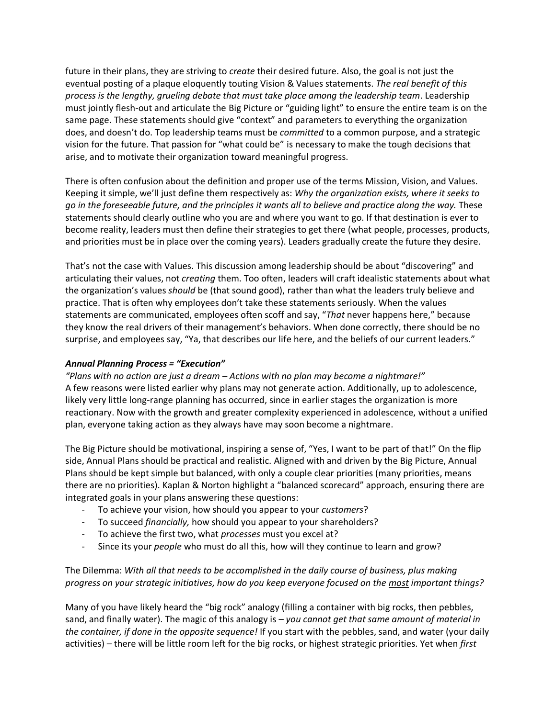future in their plans, they are striving to *create* their desired future. Also, the goal is not just the eventual posting of a plaque eloquently touting Vision & Values statements. *The real benefit of this process is the lengthy, grueling debate that must take place among the leadership team*. Leadership must jointly flesh-out and articulate the Big Picture or "guiding light" to ensure the entire team is on the same page. These statements should give "context" and parameters to everything the organization does, and doesn't do. Top leadership teams must be *committed* to a common purpose, and a strategic vision for the future. That passion for "what could be" is necessary to make the tough decisions that arise, and to motivate their organization toward meaningful progress.

There is often confusion about the definition and proper use of the terms Mission, Vision, and Values. Keeping it simple, we'll just define them respectively as: *Why the organization exists, where it seeks to go in the foreseeable future, and the principles it wants all to believe and practice along the way.* These statements should clearly outline who you are and where you want to go. If that destination is ever to become reality, leaders must then define their strategies to get there (what people, processes, products, and priorities must be in place over the coming years). Leaders gradually create the future they desire.

That's not the case with Values. This discussion among leadership should be about "discovering" and articulating their values, not *creating* them. Too often, leaders will craft idealistic statements about what the organization's values *should* be (that sound good), rather than what the leaders truly believe and practice. That is often why employees don't take these statements seriously. When the values statements are communicated, employees often scoff and say, "*That* never happens here," because they know the real drivers of their management's behaviors. When done correctly, there should be no surprise, and employees say, "Ya, that describes our life here, and the beliefs of our current leaders."

## *Annual Planning Process = "Execution"*

*"Plans with no action are just a dream – Actions with no plan may become a nightmare!"* A few reasons were listed earlier why plans may not generate action. Additionally, up to adolescence, likely very little long-range planning has occurred, since in earlier stages the organization is more reactionary. Now with the growth and greater complexity experienced in adolescence, without a unified plan, everyone taking action as they always have may soon become a nightmare.

The Big Picture should be motivational, inspiring a sense of, "Yes, I want to be part of that!" On the flip side, Annual Plans should be practical and realistic. Aligned with and driven by the Big Picture, Annual Plans should be kept simple but balanced, with only a couple clear priorities (many priorities, means there are no priorities). Kaplan & Norton highlight a "balanced scorecard" approach, ensuring there are integrated goals in your plans answering these questions:

- To achieve your vision, how should you appear to your *customers*?
- To succeed *financially,* how should you appear to your shareholders?
- To achieve the first two, what *processes* must you excel at?
- Since its your *people* who must do all this, how will they continue to learn and grow?

The Dilemma: *With all that needs to be accomplished in the daily course of business, plus making progress on your strategic initiatives, how do you keep everyone focused on the most important things?*

Many of you have likely heard the "big rock" analogy (filling a container with big rocks, then pebbles, sand, and finally water). The magic of this analogy is – *you cannot get that same amount of material in the container, if done in the opposite sequence!* If you start with the pebbles, sand, and water (your daily activities) – there will be little room left for the big rocks, or highest strategic priorities. Yet when *first*